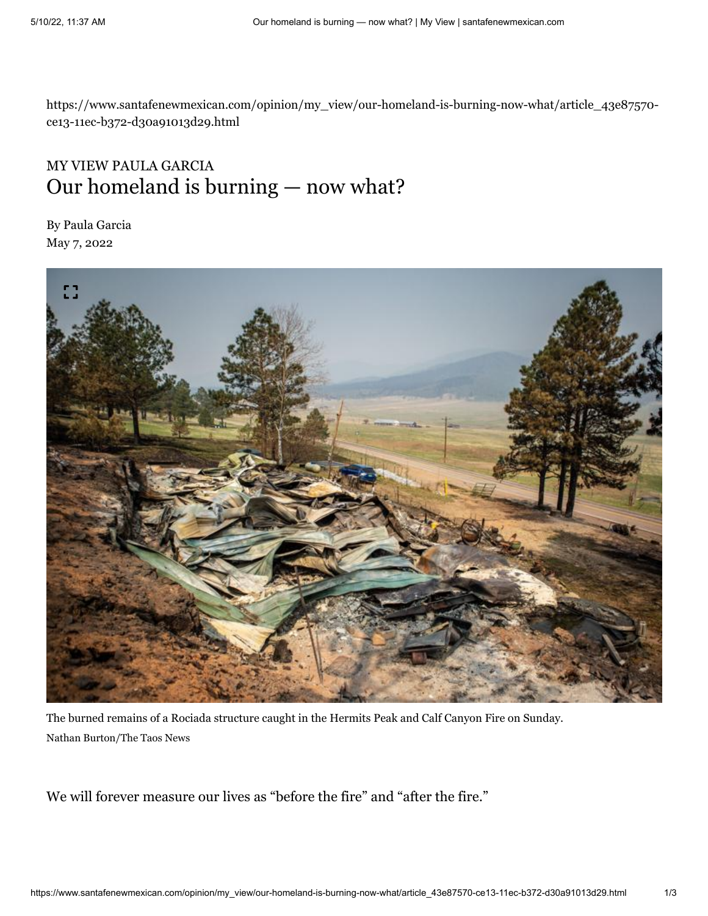https://www.santafenewmexican.com/opinion/my\_view/our-homeland-is-burning-now-what/article\_43e87570 ce13-11ec-b372-d30a91013d29.html

## MY VIEW PAULA GARCIA Our homeland is burning — now what?

By Paula Garcia May 7, 2022



The burned remains of a Rociada structure caught in the Hermits Peak and Calf Canyon Fire on Sunday. Nathan Burton/The Taos News

We will forever measure our lives as "before the fire" and "after the fire."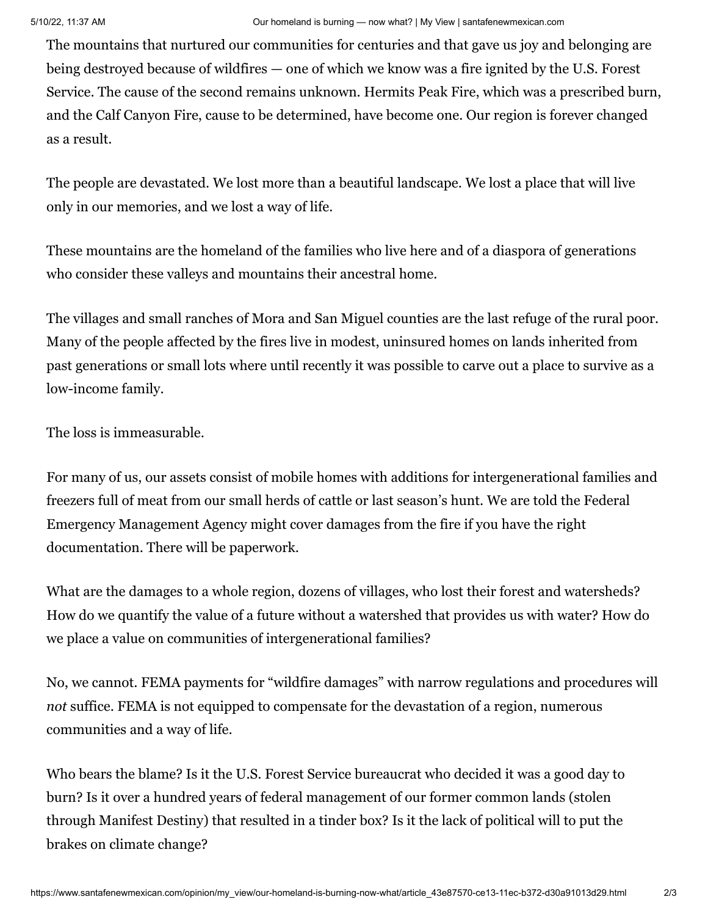The mountains that nurtured our communities for centuries and that gave us joy and belonging are being destroyed because of wildfires — one of which we know was a fire ignited by the U.S. Forest Service. The cause of the second remains unknown. Hermits Peak Fire, which was a prescribed burn, and the Calf Canyon Fire, cause to be determined, have become one. Our region is forever changed as a result.

The people are devastated. We lost more than a beautiful landscape. We lost a place that will live only in our memories, and we lost a way of life.

These mountains are the homeland of the families who live here and of a diaspora of generations who consider these valleys and mountains their ancestral home.

The villages and small ranches of Mora and San Miguel counties are the last refuge of the rural poor. Many of the people affected by the fires live in modest, uninsured homes on lands inherited from past generations or small lots where until recently it was possible to carve out a place to survive as a low-income family.

The loss is immeasurable.

For many of us, our assets consist of mobile homes with additions for intergenerational families and freezers full of meat from our small herds of cattle or last season's hunt. We are told the Federal Emergency Management Agency might cover damages from the fire if you have the right documentation. There will be paperwork.

What are the damages to a whole region, dozens of villages, who lost their forest and watersheds? How do we quantify the value of a future without a watershed that provides us with water? How do we place a value on communities of intergenerational families?

No, we cannot. FEMA payments for "wildfire damages" with narrow regulations and procedures will *not* suffice. FEMA is not equipped to compensate for the devastation of a region, numerous communities and a way of life.

Who bears the blame? Is it the U.S. Forest Service bureaucrat who decided it was a good day to burn? Is it over a hundred years of federal management of our former common lands (stolen through Manifest Destiny) that resulted in a tinder box? Is it the lack of political will to put the brakes on climate change?